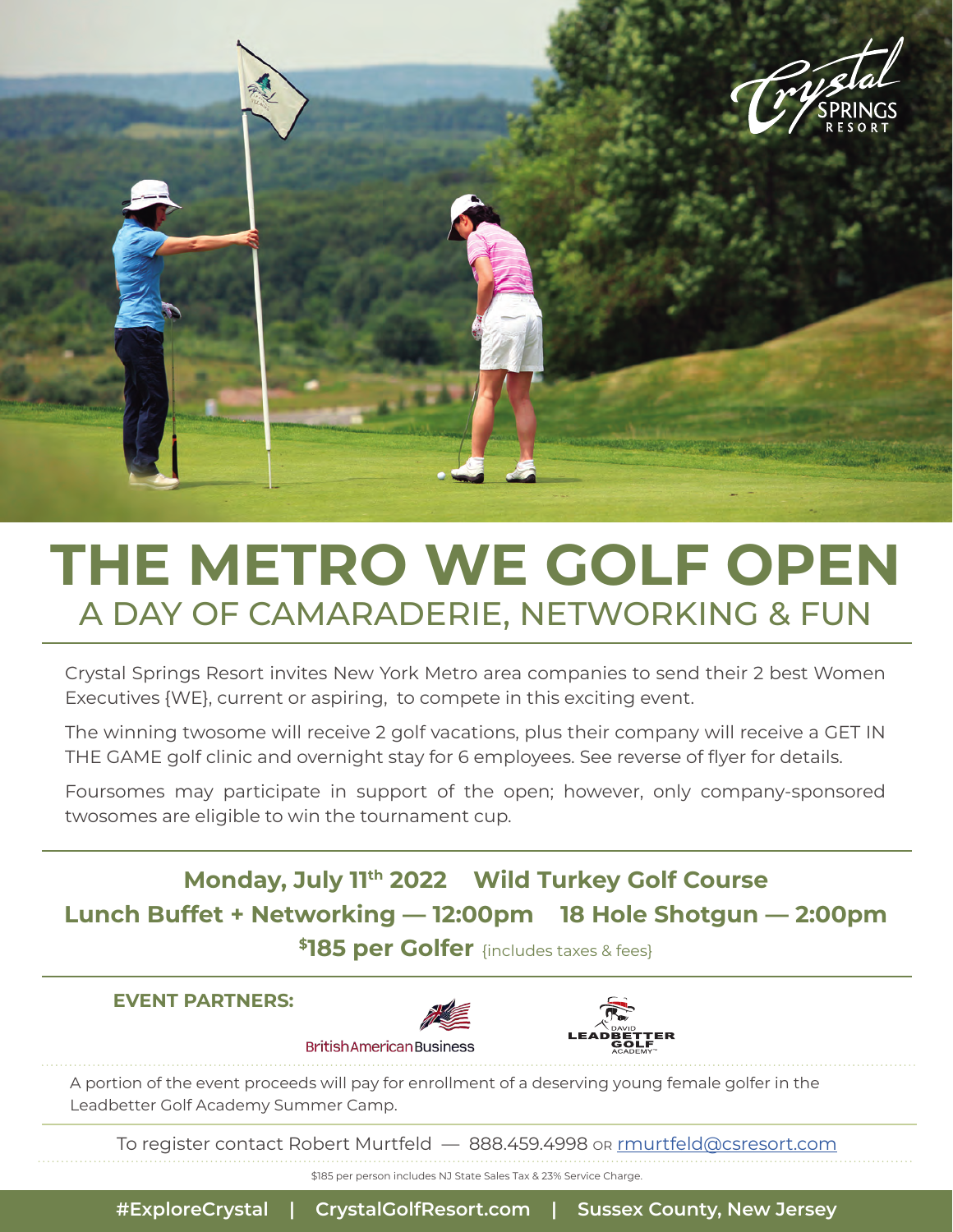

## **THE METRO WE GOLF OPEN** A DAY OF CAMARADERIE, NETWORKING & FUN

Crystal Springs Resort invites New York Metro area companies to send their 2 best Women Executives {WE}, current or aspiring, to compete in this exciting event.

The winning twosome will receive 2 golf vacations, plus their company will receive a GET IN THE GAME golf clinic and overnight stay for 6 employees. See reverse of flyer for details.

Foursomes may participate in support of the open; however, only company-sponsored twosomes are eligible to win the tournament cup.

**Monday, July 11th 2022 Wild Turkey Golf Course Lunch Buffet + Networking — 12:00pm 18 Hole Shotgun — 2:00pm \$185 per Golfer** {includes taxes & fees}

#### **EVENT PARTNERS:**





A portion of the event proceeds will pay for enrollment of a deserving young female golfer in the Leadbetter Golf Academy Summer Camp.

To register contact Robert Murtfeld — 888.459.4998 or rmurtfeld@csresort.com

\$185 per person includes NJ State Sales Tax & 23% Service Charge.